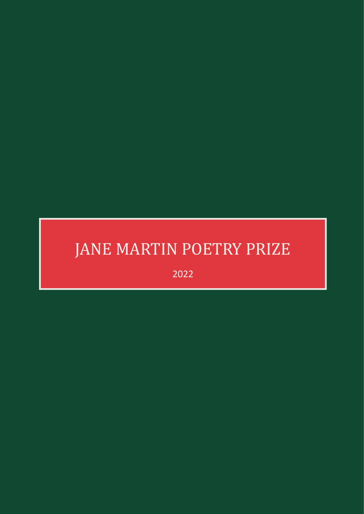# JANE MARTIN POETRY PRIZE

2022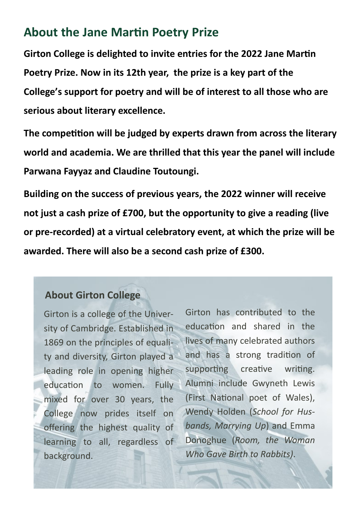#### **About the Jane Martin Poetry Prize**

**Girton College is delighted to invite entries for the 2022 Jane Martin Poetry Prize. Now in its 12th year, the prize is a key part of the College's support for poetry and will be of interest to all those who are serious about literary excellence.**

**The competition will be judged by experts drawn from across the literary world and academia. We are thrilled that this year the panel will include Parwana Fayyaz and Claudine Toutoungi.**

**Building on the success of previous years, the 2022 winner will receive not just a cash prize of £700, but the opportunity to give a reading (live or pre-recorded) at a virtual celebratory event, at which the prize will be awarded. There will also be a second cash prize of £300.**

#### **About Girton College**

Girton is a college of the University of Cambridge. Established in 1869 on the principles of equality and diversity, Girton played a leading role in opening higher education to women. Fully mixed for over 30 years, the College now prides itself on offering the highest quality of learning to all, regardless of background.

Girton has contributed to the education and shared in the lives of many celebrated authors and has a strong tradition of supporting creative writing. Alumni include Gwyneth Lewis (First National poet of Wales), Wendy Holden (*School for Husbands, Marrying Up*) and Emma Donoghue (*Room, the Woman Who Gave Birth to Rabbits)*.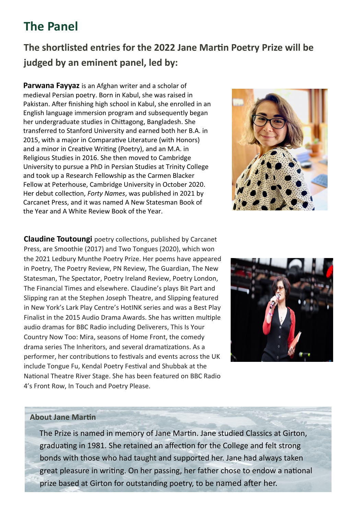### **The Panel**

#### **The shortlisted entries for the 2022 Jane Martin Poetry Prize will be judged by an eminent panel, led by:**

**Parwana Fayyaz** is an Afghan writer and a scholar of medieval Persian poetry. Born in Kabul, she was raised in Pakistan. After finishing high school in Kabul, she enrolled in an English language immersion program and subsequently began her undergraduate studies in Chittagong, Bangladesh. She transferred to Stanford University and earned both her B.A. in 2015, with a major in Comparative Literature (with Honors) and a minor in Creative Writing (Poetry), and an M.A. in Religious Studies in 2016. She then moved to Cambridge University to pursue a PhD in Persian Studies at Trinity College and took up a Research Fellowship as the Carmen Blacker Fellow at Peterhouse, Cambridge University in October 2020. Her debut collection, *Forty Names*, was published in 2021 by Carcanet Press, and it was named A New Statesman Book of the Year and A White Review Book of the Year.



**Claudine Toutoungi** poetry collections, published by Carcanet Press, are Smoothie (2017) and Two Tongues (2020), which won the 2021 Ledbury Munthe Poetry Prize. Her poems have appeared in Poetry, The Poetry Review, PN Review, The Guardian, The New Statesman, The Spectator, Poetry Ireland Review, Poetry London, The Financial Times and elsewhere. Claudine's plays Bit Part and Slipping ran at the Stephen Joseph Theatre, and Slipping featured in New York's Lark Play Centre's HotINK series and was a Best Play Finalist in the 2015 Audio Drama Awards. She has written multiple audio dramas for BBC Radio including Deliverers, This Is Your Country Now Too: Mira, seasons of Home Front, the comedy drama series The Inheritors, and several dramatizations. As a performer, her contributions to festivals and events across the UK include Tongue Fu, Kendal Poetry Festival and Shubbak at the National Theatre River Stage. She has been featured on BBC Radio 4's Front Row, In Touch and Poetry Please.



#### **About Jane Martin**

 The Prize is named in memory of Jane Martin. Jane studied Classics at Girton, graduating in 1981. She retained an affection for the College and felt strong bonds with those who had taught and supported her. Jane had always taken great pleasure in writing. On her passing, her father chose to endow a national prize based at Girton for outstanding poetry, to be named after her.